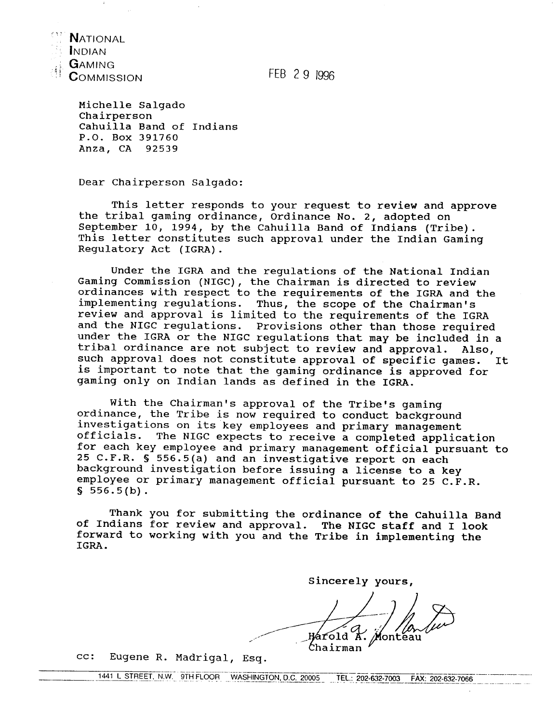

INDIAN GAMING **COMMISSION** 

FEB 2 9 1996

Michelle Salgado Chairperson Cahuilla Band of Indians P.O. Box 391760 Anza, **CA** 92539

Dear Chairperson Salgado:

This letter responds to your request to review and approve the tribal gaming ordinance, Ordinance No. 2, adopted on September 10, 1994, by the Cahuilla Band of Indians (Tribe). This letter constitutes such approval under the Indian Gaming Regulatory Act (IGRA).

Under the IGRA and the regulations of the National Indian Gaming Commission (NIGC), the Chairman is directed to review ordinances with respect to the requirements of the IGRA and the implementing regulations. Thus, the scope of the Chairman's review and approval is limited to the requirements of the IGRA and the NIGC regulations. Provisions other than those required under the IGRA or the NIGC regulations that may be included in a tribal ordinance are not subject to review and approval. Also, such approval does not constitute approval of specific games. **It**  is important to note that the gaming ordinance is approved for gaming only on Indian lands as defined in the IGRA.

With the Chairman's approval of the Tribe's gaming ordinance, the Tribe is now required to conduct background investigations on its key employees and primary management<br>officials. The NIGC expects to receive a completed applica The NIGC expects to receive a completed application for each key employee and primary management official pursuant to 25 C.F.R. **S** 556.5(a) and an investigative report On each background investigation before issuing a license to a key employee or primary management official pursuant to 25 C.F.R. **<sup>S</sup>**556.5(b).

Thank you for submitting the ordinance of the Cahuilla Band of Indians for review and approval. The NIGC staff and I look forward to working with you and the Tribe in implementing the IGRA.

Sincerely yours,

Monteau Hárold K. Chairman

 $cc:$ Eugene R. Madrigal, Esq.

1441 L STREET, N.W. 9TH FLOOR WASHINGTON, D.C. 20005 TEL.: 202-632-7003 FAX: 202-632-7066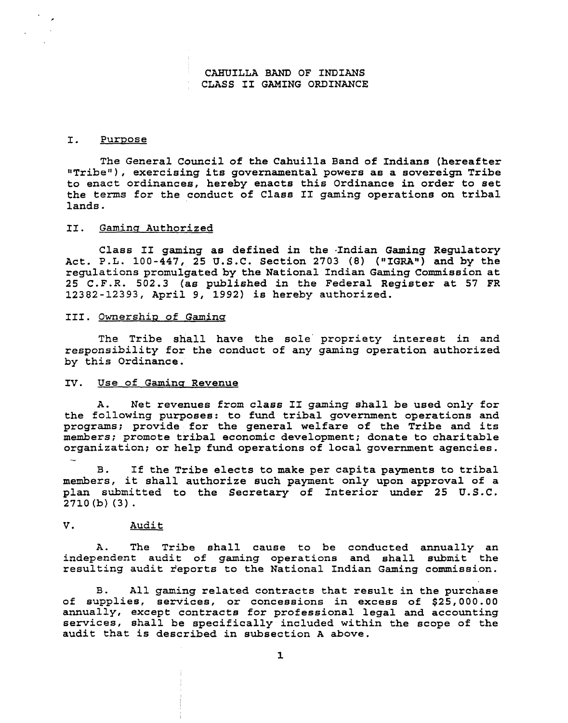# **CAHUILLA BAND OF INDIANS CLASS I1 GAMING ORDINANCE**

# **I. Purpose**

**The General Council of the Cahuilla Band of Indians (hereafter !!Tribeu** ) , **exercising its governamental powers as a sovereign Tribe to enact ordinances, hereby enacts this Ordinance in order to set the terms for the conduct of Class I1 gaming operations on tribal lands.** 

### **11. Gamins Authorized**

**Class I1 gaming as defined in the ,Indian Gaming Regulatory Act. P.L. 100-447, 25 U.S.C. Section 2703 (8) ("IGRAW) and by the regulations promulgated by the National Indian Gaming Commission at 25 C.F.R. 502.3 (as published in the Federal Register at 57 FR 12382-12393, April 9, 1992) is hereby authorized.** 

# **111. Ownershin of Gaminq**

**The Tribe shall have the sole propriety interest in and responsibility for the conduct of any gaming operation authorized by this Ordinance.** 

# IV. Use of Gaming Revenue

**A. Net revenues from class I1 gaming shall be used only for the following purposes: to fund tribal government operations and programs; provide for the general welfare of the Tribe and its members; promote tribal economic development; donate to charitable organization; or help fund operations of local government agencies.**  -

**B. If the Tribe elects to make per capita payments to tribal members, it shall authorize such payment only upon approval of a plan submitted to the Secretary of Interior under 25 U.S.C. 2710 (b) (3).** 

## **V. Audit**

**A. The Tribe shall cause to be conducted annually an independent audit of gaming operations and shall submit the resulting audit reports to the National Indian Gaming commission.** 

**B. All gaming related contracts that result in the purchase of supplies, services, or concessions in excess of \$25,000.00 annually, except contracts for professional legal and accounting services, shall be specifically included within the scope of the audit that is described in subsection A above.**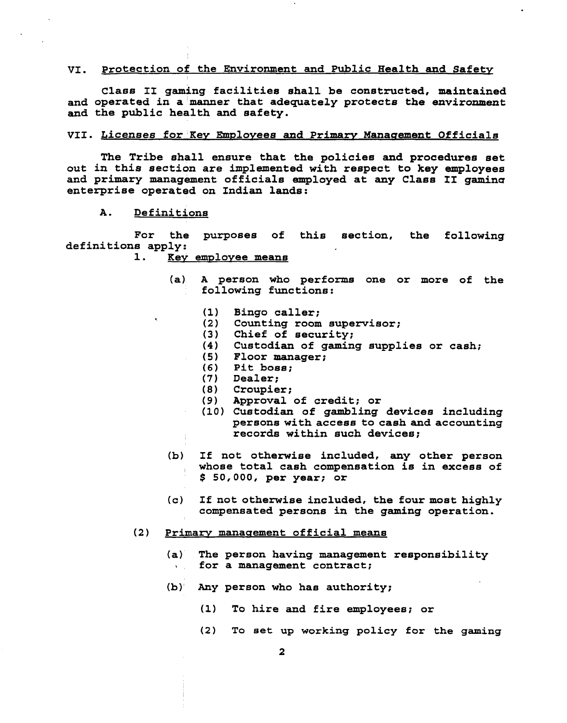#### **VI. Protection of the Environment and Public Health and Safety**

**Class 11 gaming facilities shall be constructed, maintained and operated in a manner that adequately protects the environment and the public health and safety.** 

#### VII. Licenses for Key Employees and Primary Management Officials

**The Tribe shall ensure that the policies and procedures set out in this section are implemented with respect to key employees and primary management officials employed at any Class I1 gamine enterprise operated on Indian lands:** 

**A. Definitions** 

**For the purposes of this section, the following definitions apply:** 

- **1. Key emvlovee means** 
	- **(a) A person who performs one or more of the following functions:** 
		- $(1)$ **Bingo caller;**
		- **Counting room supervisor;**   $(2)$
		- $(3)$ **Chief of security;**
		- **Custodian of gaming supplies or cash;**
		- **Floor manager;**
		- $(6)$ **Pit boss;**
		- $(7)$ **Dealer;**
		- **Croupier;**
		- $(9)$ **Approval of credit; or**
		- **Custodian of gambling devices including persons with access to cash and accounting records within such devices;**
	- **(b) If not otherwise included, any other person whose total cash compensation is in excess of**  \$ **50,000, per year; or**
	- **(c) If not otherwise included, the four most highly compensated persons in the gaming operation.**
- **(2) Primarv manaeement official means** 
	- **(a) The person having management responsibility** \ **for a management contract;**
	- **(b) Any person who has authority;** 
		- **(1) To hire and fire employees; or**
		- **(2) To set up working policy for the gaming**

 $\mathbf{2}$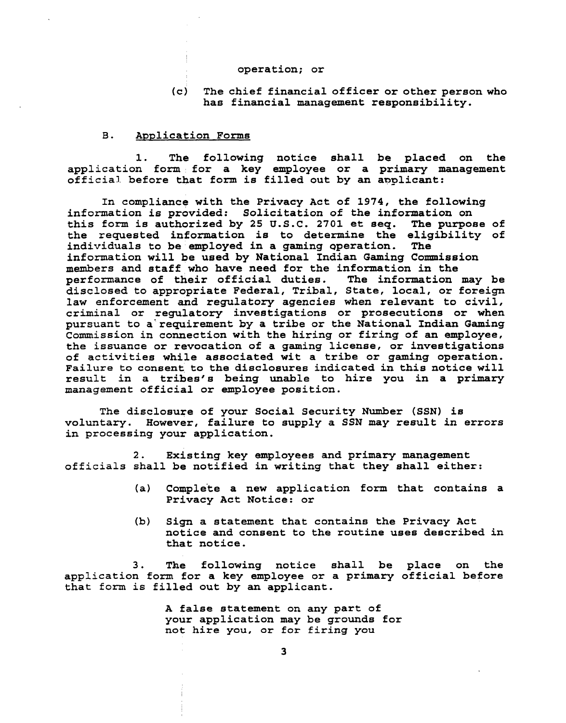#### **operation; or**

# **(c) The chief financial officer or other person who has financial management responsibility.**

### **B. Avplication Forms**

**1. The following notice shall be placed on the application form for a key employee or a primary management**  official before that form is filled out by an applicant:

**In compliance with the Privacy Act of 1974, the following information is provided: Solicitation of the information on this form is authorized by 25 U.S.C. 2701 et seq. The purpose of the requested information is to determine the eligibility of**  individuals to be employed in a gaming operation. **information will be used by National Indian Gaming Commission members and staff who have need for the information in the**  performance of their official duties. **disclosed to appropriate Federal, Tribal, State, local, or foreign law enforcement and regulatory agencies when relevant to civil, criminal or regulatory investigations or prosecutions or when pursuant to a' requirement by a tribe or the National Indian Gaming Commission in connection with the hiring or firing of an employee, the issuance or revocation of a gaming license, or investigations of activities while associated wit a tribe or gaming operation. Failure to consent to the disclosures indicated in this notice will result in a tribes's being unable to hire you in a primary management official or employee position.** 

**The disclosure of your Social Security Number (SSN) is voluntary. However, failure to supply a SSN may result in errors in processing your application.** 

**2. Existing key employees and primary management officials shall be notified in writing that they shall either:** 

- **(a) Comple'te a new application form that contains a Privacy Act Notice: or**
- **(b) Sign a statement that contains the Privacy Act notice and consent to the routine uses described in that notice.**

**3. The following notice shall be place on the application fonn for a key employee or a primary official before that form is filled out by an applicant.** 

> **A false statement on any part of your application may be grounds for not hire you, or for firing you**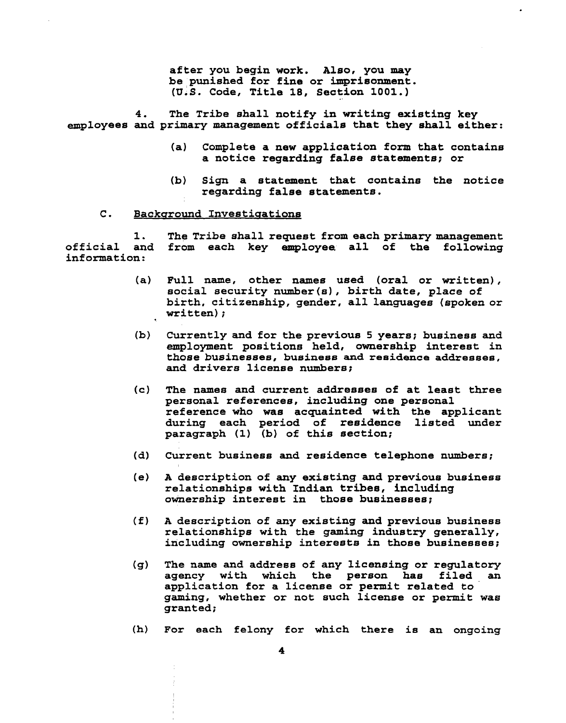**after you begin work. Also, you may be punished for fine or imprisonment. (u.s. Code, Title 18, Section 1001.)** 

**4. The Tribe shall notify in writing existing key employees and primary management of ficials that they shall either:** 

- **(a) Complete a new application form that contains a notice regarding false statements; or**
- **(b) Sign a statement that contains the notice regarding false statements.**
- **C.** Background Investigations

**1. The Tribe shall request from each primary management official and from each key employee all of the following information:** 

- **(a) Full name, other names used (oral or written),**  social security number(s), birth date, place of **birth, citizenship, gender, all languages (spoken or written)** ;
- **(b) Currently and for the previous 5 years; business and employment positions held, ownership interest in those businesses, business and residence addresses, and drivers license numbers;**
- **(c) The names and current addresses of at least three personal references, including one personal reference who was acquainted with the applicant during each period of residence listed under paragraph (1) (b) of this section;**
- **(d) Current business and residence telephone numbers;**
- **(e) A description of any existing and previous business relationships with Indian tribes, including**   $ownership interest in those business;$
- **(f) A description of any existing and previous business relationships with the gaming industry generally, including ownership interests in those businesses;**
- **(g) The name and address of any licensing or regulatory agency with which the person has filed an application for a license or permit related to gaming, whether or not such license or permit was granted;**
- **(h) For each felony for which there is an ongoing**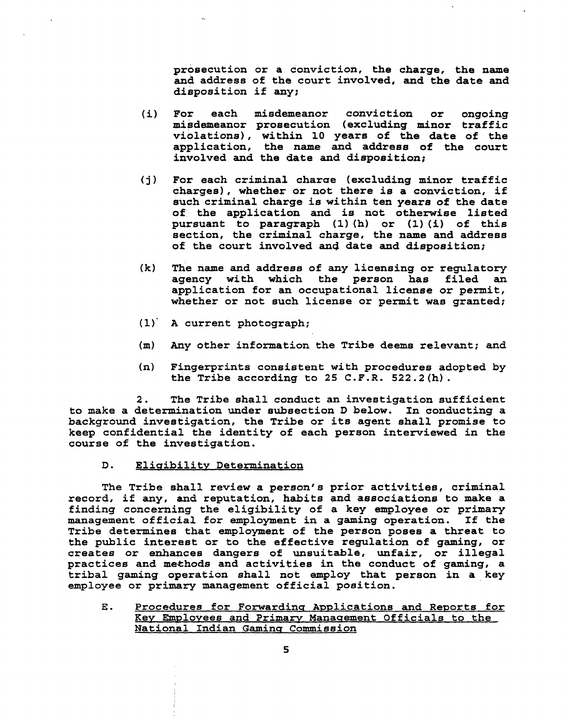**prosecution or a conviction, the charge, the name and address of the court involved, and the date and disposition if any;** 

- **(i) For each misdemeanor conviction or ongoing misdemeanor prosecution (excluding minor traffic violations), within 10 years of the date of the application, the name and address of the court involved and the date and disposition;**
- **(j 1 For each criminal charae (excluding minor traffic charges), whether or not there is a conviction, if such criminal charge is within ten years of the date of the application and is not otherwise listed pursuant to paragraph (1) (h) or (1) (i) of this section, the criminal charge, the name and address of the court involved and date and disposition;**
- **(k) d he name and addreaa of any licensing or regulatory agency with which the person has filed an application for an occupational license or permit, whether or not such license or permit was granted;**
- **(1)' A current photograph;**
- **(m) Any other information the Tribe deems relevant; and**
- **(n) Fingerprints consistent with procedures adopted by the Tribe according to 25 C.F.R. 522.2(h).**

**2. The Tribe shall conduct an investigation sufficient**  to make a determination under subsection **D** below. In conducting a **background investigation, the Tribe or its agent shall promise to keep confidential the identity of each person interviewed in the course of the investigation.** 

#### D. **Eliuibility Determination**

**The Tribe shall review a person's prior activities, criminal record, if any, and reputation, habits and associations to make a finding concerning the eligibility of a key employee or primary**  management official for employment in a gaming operation. **Tribe determines that employment of the person poses a threat to the public interest or to the effective regulation of gaming, or creates or enhances dangers of unsuitable, unfair, or illegal practices and methods and activities in the conduct of gaming, a tribal gaming operation shall not employ that person in a key employee or primary management official position.** 

E. Procedures for Forwarding Applications and Reports for Key Employees and Primary Management Officials to the **~ational Indian Gaminq Commission**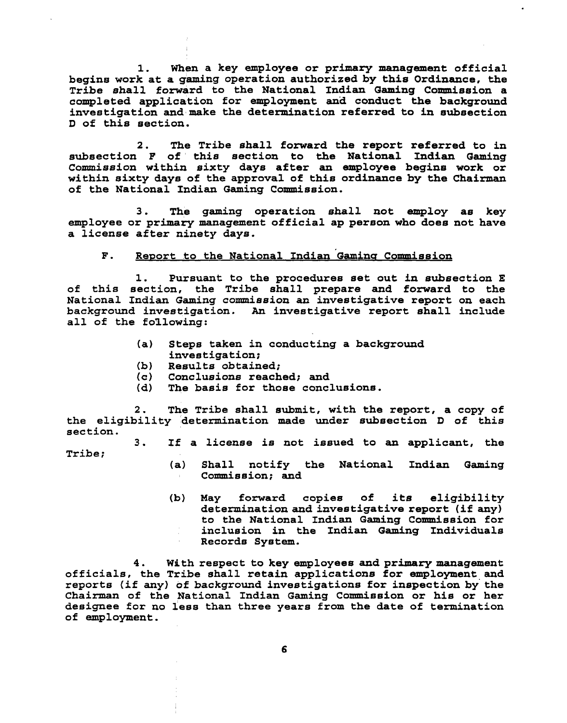**1. When a key employee or primary management official**  begins work at a gaming operation authorized by this Ordinance, the **Tribe shall forward to the National Indian Gaming Commiseion a completed application for employment an3 conduct the background investigation andmake the determination referred to in subsection D of this section.** 

**2. The Tribe shall forward the report referred to in subsection F of this section to the National Indian Gaming Commission within sixty days after an employee begins work or within sixty days of the approval of this ordinance by the Chairman of the National Indian Gaming Commission.** 

**3. The gaming operation shall not employ as key employee or primary management official ap person who does not have a license after ninety days.** 

#### $\mathbf{F}$ . Report to the National Indian Gaming Commission

**1. Pursuant to the procedures set out in subsection E of this section, the Tribe shall prepare and forward to the National Indian Gaming commission an investigative report on each background investigation. An investigative report shall include all of the following:** 

- **(a) Steps taken in conducting a background investigation;**
- 
- **(b) Results obtained; (c) Conclusions reached; and**
- The basis for those conclusions.

**2. The Tribe shall submit, with the report, a copy of the eligibility 'determination made under subsection D of this section.** 

**3. If a license is not issued to an applicant, the** 

- **Tribe;**
- **(a) Shall notify the National Indian Gaming Commiseion; and**
- **(b) May forward copies of its eligibility determination and investigative report (if any) to the National Indian Gaming Commission for inclusion in the Indian Gaming Individuals Records System.**

**4. With respect to key employees and primary management officials, the Tribe shall retain applications for employment and reports (3. f any) of background investigations for inspection by' the**  Chairman of the National Indian Gaming Commission or his or her **designee for no less than three years from the date of termination of employment.**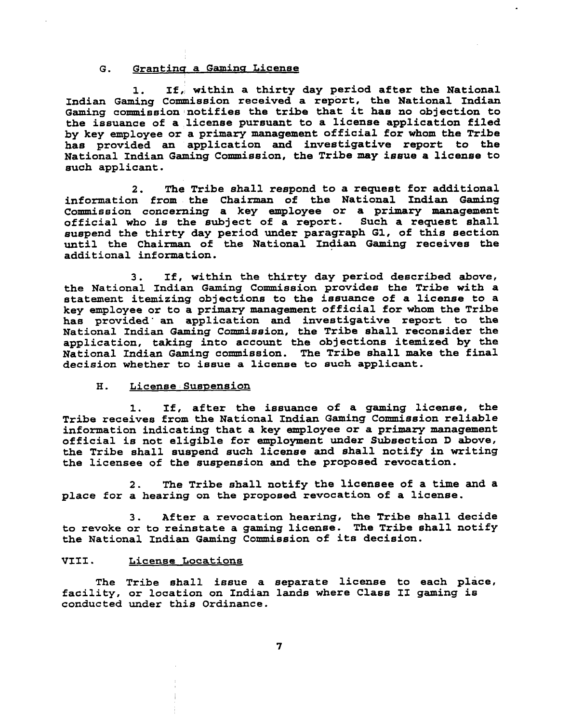# G. Granting a Gaming License

**1. If, within a thirty day period after the National Indian Gaming Commission received a report, the National Indian Gaming commission notifies the tribe that it has no objection to the issuance of a license pursuant to a license application filed by key employee or a primary management official for whom the Tribe has provided an application and investigative report to the National Indian Gaming Commission, the Tribe may issue a license to such applicant.** 

**2. The Tribe shall respond to a request for additional information from the Chairman of the National Indian Gaming Commission concerning a key employee or a primary management official who is the subject of a report. Such a request shall suspend the thirty day period under paragraph GI, of this section until the Chairman of the National Indian Gaming receives the additional information.** 

**3. If, within the thirty day period described above,**  the National Indian Gaming Commission provides the Tribe with a **statement itemizing objections to the issuance of a license to a key employee or to a primary management official for whom the Tribe**  has provided an application and investigative report to the **National Indian Gaming Commission, the Tribe shall reconsider the application, taking into account the objections itemized by the National Indian Gaming commission. The Tribe shall make the final decision whether to issue a license to such applicant.** 

#### **H. License Suspension**

**1. If, after the issuance of a gaming license, the**  Tribe receives from the National Indian Gaming Commission reliable **information indicating that a key employee or a primary management official is not eligible for employment under Subsection D above, the Tribe shall suspend such license and shall notify in writing the licensee of the suspension and the proposed revocation.** 

**2. The Tribe shall notify the licensee of a time and a place for a hearing on the proposed revocation of a license.** 

**3. After a revocation hearing, the Tribe shall decide to revoke or to reinstate a gaming license. The Tribe shall notify the National Indian Gaming Commission of its decision.** 

# **VIII** . **License Locations**

**The Tribe shall issue a separate license to each place, facility, or location on Indian lands where Class I1 gaming is conducted under this Ordinance.**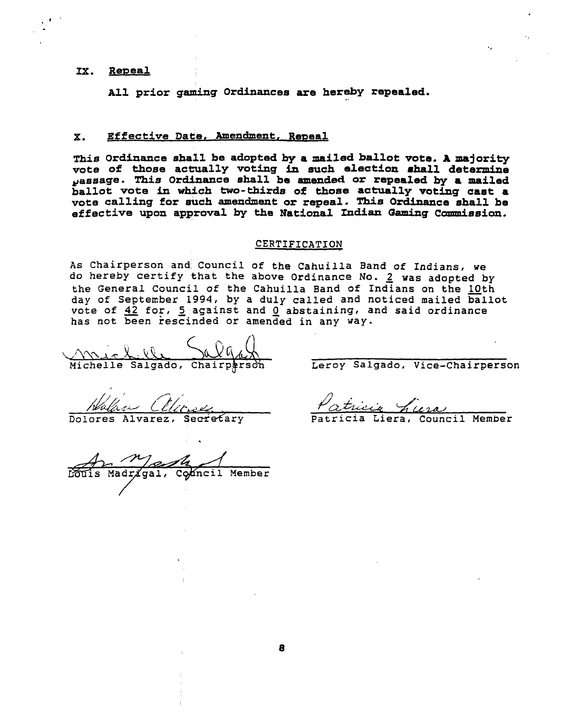# **Ix. Remeal** <sup>I</sup>

**All prior gaming Ordinances are hereby repealed.** 

# **X.** Effective Date, Amendment, Repeal

**This Ordinance shall be adopted by a mailed ballot vote. A majority**  vote of those actually voting in such election shall determine **pasaage. This Ordinance shall be mended or repealed by a mailed ballot vote in whfch two-thirds of thoae actually voting cast a vote calling for such amendment or repeal.** This **Ordinance shall be**  effective upon approval by the National Indian Gaming Commission.

### **CERTIFICATION**

As chairperson and Council of the Cahuilla Band of Indians, **we**  do hereby certify that the above Ordinance No. **2** was adopted by the General Council of the Cahuilla Band of Indians on the 10th day of Septenber 1994, by a duly called and noticed mailed ballot vote of 42 for, 5 against and 0 abstaining, and said ordinance has not been rescinded or amended in any way.

Michelle Salgado, chairpbrsox Leroy **Salgado,** Vice-Chairperson

Mangle<br>dr/gal, Comcil Member

Walge Clinse - Patricia hura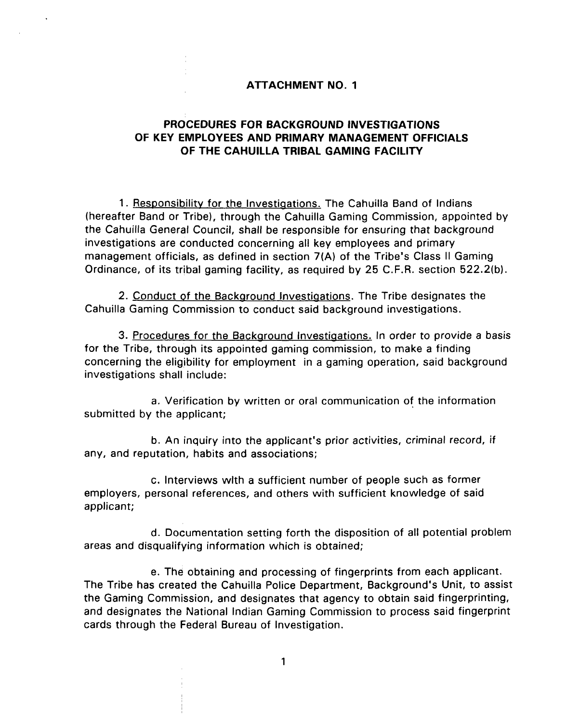# **ATTACHMENT NO. 1**

# **PROCEDURES FOR BACKGROUND INVESTIGATIONS OF KEY EMPLOYEES AND PRIMARY MANAGEMENT OFFICIALS OF THE CAHUILLA TRIBAL GAMING FACILITY**

1. Responsibility for the Investigations. The Cahuilla Band of Indians (hereafter Band or Tribe), through the Cahuilla Gaming Commission, appointed by the Cahuilla General Council, shall be responsible for ensuring that background investigations are conducted concerning all key employees and primary management officials, as defined in section **7(A)** of the Tribe's Class II Gaming Ordinance, of its tribal gaming facility, as required by 25 C.F.R. section 522.2(b).

2. Conduct of the Background Investigations. The Tribe designates the Cahuilla Gaming Commission to conduct said background investigations.

3. Procedures for the Background Investigations. In order to provide a basis for the Tribe, through its appointed gaming commission, to make a finding concerning the eligibility for employment in a gaming operation, said background investigations shall include:

a. Verification by written or oral communication of the information submitted by the applicant;

b. An inquiry into the applicant's prior activities, criminal record, if any, and reputation, habits and associations;

c. Interviews wlth a sufficient number of people such as former employers, personal references, and others with sufficient knowledge of said applicant;

d. Documentation setting forth the disposition of all potential problem areas and disqualifying information which is obtained;

e. The obtaining and processing of fingerprints from each applicant. The Tribe has created the Cahuilla Police Department, Background's Unit, to assist the Gaming Commission, and designates that agency to obtain said fingerprinting, and designates the National Indian Gaming Commission to process said fingerprint cards through the Federal Bureau of Investigation.

 $\mathbf{1}$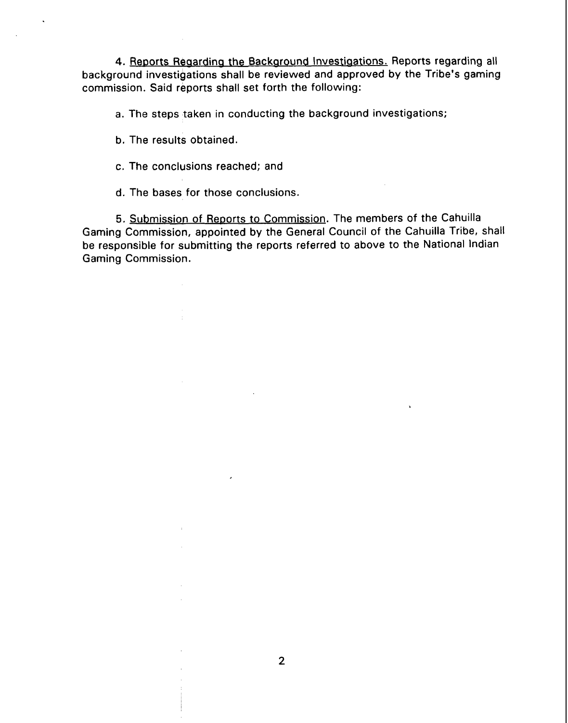4. Reports Regarding the Background Investigations. Reports regarding all background investigations shall be reviewed and approved by the Tribe's gaming commission. Said reports shall set forth the following:

a. The steps taken in conducting the background investigations;

b. The results obtained.

c. The conclusions reached; and

d. The bases for those conclusions.

5. Submission of Reports to Commission. The members of the Cahuilla Gaming Commission, appointed by the General Council of the Cahuilla Tribe, shall be responsible for submitting the reports referred to above to the National Indian Gaming Commission.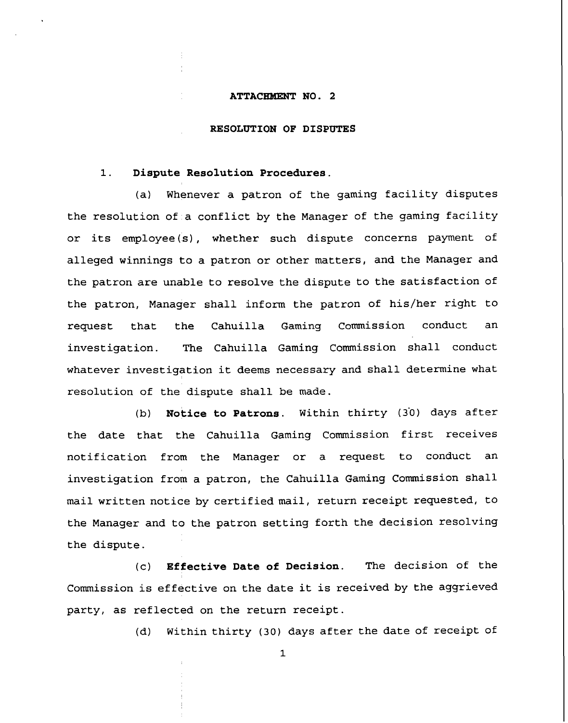#### **ATTACEWENT NO. 2**

#### **RESOLUTION OF DISPUTES**

# **1. Dispute Resolution Procedures.**

(a) Whenever a patron of the gaming facility disputes the resolution of a conflict by the Manager of the gaming facility or its employee(s), whether such dispute concerns payment of alleged winnings to a patron or other matters, and the Manager and the patron are unable to resolve the dispute to the satisfaction of the patron, Manager shall inform the patron of his/her right to request that the Cahuilla Gaming Commission conduct an investigation. The Cahuilla Gaming Commission shall conduct whatever investigation it deems necessary and shall determine what resolution of the dispute shall be made.

(b) **Notice to Patrons**. Within thirty (30) days after the date that the Cahuilla Gaming Commission first receives notification from the Manager or a request to conduct an investigation from a patron, the Cahuilla Gaming Commission shall mail written notice by certified mail, return receipt requested, to the Manager and to the patron setting forth the decision resolving the dispute.

(c) **Effective Date of Decision.** The decision of the Commission is effective on the date it is received by the aggrieved party, as reflected on the return receipt.

(d) Within thirty (30) days after the date of receipt of

**1**